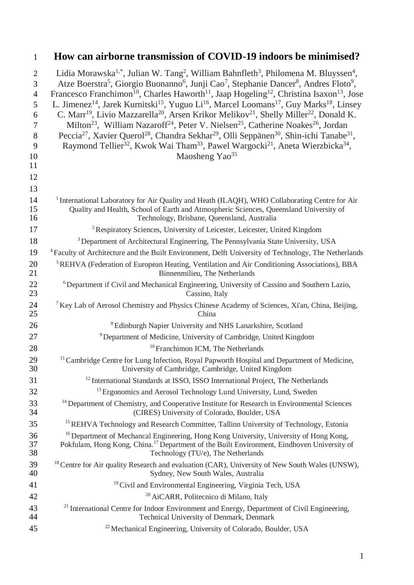# 1 **How can airborne transmission of COVID-19 indoors be minimised?** 2 Lidia Morawska<sup>1,\*</sup>, Julian W. Tang<sup>2</sup>, William Bahnfleth<sup>3</sup>, Philomena M. Bluyssen<sup>4</sup>, 3 Atze Boerstra<sup>5</sup>, Giorgio Buonanno<sup>6</sup>, Junji Cao<sup>7</sup>, Stephanie Dancer<sup>8</sup>, Andres Floto<sup>9</sup>, 4 Francesco Franchimon<sup>10</sup>, Charles Haworth<sup>11</sup>, Jaap Hogeling<sup>12</sup>, Christina Isaxon<sup>13</sup>, Jose 5 L. Jimenez<sup>14</sup>, Jarek Kurnitski<sup>15</sup>, Yuguo Li<sup>16</sup>, Marcel Loomans<sup>17</sup>, Guy Marks<sup>18</sup>, Linsey C. Marr<sup>19</sup>, Livio Mazzarella<sup>20</sup>, Arsen Krikor Melikov<sup>21</sup>, Shelly Miller<sup>22</sup>, Donald K. 7 Milton<sup>23</sup>, William Nazaroff<sup>24</sup>, Peter V. Nielsen<sup>25</sup>, Catherine Noakes<sup>26</sup>, Jordan 8 Peccia<sup>27</sup>, Xavier Querol<sup>28</sup>, Chandra Sekhar<sup>29</sup>, Olli Seppänen<sup>30</sup>, Shin-ichi Tanabe<sup>31</sup>, 9 Raymond Tellier<sup>32</sup>, Kwok Wai Tham<sup>33</sup>, Pawel Wargocki<sup>21</sup>, Aneta Wierzbicka<sup>34</sup>,  $M$ aosheng Yao<sup>35</sup> 11 12 13 <sup>1</sup> International Laboratory for Air Quality and Heath (ILAQH), WHO Collaborating Centre for Air<br>15 Ouality and Health. School of Earth and Atmospheric Sciences. Oueensland University of 15 Quality and Health, School of Earth and Atmospheric Sciences, Queensland University of Technology, Brisbane, Queensland, Australia 16 Technology, Brisbane, Queensland, Australia <sup>2</sup>17 Respiratory Sciences, University of Leicester, Leicester, United Kingdom <sup>3</sup>18 Department of Architectural Engineering, The Pennsylvania State University, USA <sup>4</sup>19 Faculty of Architecture and the Built Environment, Delft University of Technology, The Netherlands <sup>5</sup> REHVA (Federation of European Heating, Ventilation and Air Conditioning Associations), BBA<br>
<sup>5</sup> REHVA (Federation of European Heating, Ventilation and Air Conditioning Associations), BBA Binnenmilieu, The Netherlands <sup>6</sup> Department if Civil and Mechanical Engineering, University of Cassino and Southern Lazio,<br>Cassino. Italy Cassino, Italy <sup>7</sup> Key Lab of Aerosol Chemistry and Physics Chinese Academy of Sciences, Xi'an, China, Beijing, China 25 China <sup>8</sup>26 Edinburgh Napier University and NHS Lanarkshire, Scotland <sup>9</sup>27 Department of Medicine, University of Cambridge, United Kingdom 28 <sup>10</sup> Franchimon ICM, The Netherlands <sup>11</sup> Cambridge Centre for Lung Infection, Royal Papworth Hospital and Department of Medicine, 30 University of Cambridge, Cambridge, United Kingdom <sup>12</sup>31 International Standards at ISSO, ISSO International Project, The Netherlands <sup>13</sup>32 Ergonomics and Aerosol Technology Lund University, Lund, Sweden <sup>14</sup> Department of Chemistry, and Cooperative Institute for Research in Environmental Sciences 34 (CIRES) University of Colorado, Boulder, USA <sup>15</sup>35 REHVA Technology and Research Committee, Tallinn University of Technology, Estonia <sup>16</sup> Department of Mechancal Engineering, Hong Kong University, University of Hong Kong,<br>
27 Pokfulam. Hong Kong, China.<sup>17</sup> Department of the Built Environment, Eindhoven University c Pokfulam, Hong Kong, China.<sup>17</sup> Department of the Built Environment, Eindhoven University of Technology (TU/e). The Netherlands Technology (TU/e), The Netherlands <sup>18</sup>39 Centre for Air quality Research and evaluation (CAR), University of New South Wales (UNSW), 40 Sydney, New South Wales, Australia <sup>19</sup>41 Civil and Environmental Engineering, Virginia Tech, USA <sup>20</sup>42 AiCARR, Politecnico di Milano, Italy <sup>21</sup> International Centre for Indoor Environment and Energy, Department of Civil Engineering, 44 Technical University of Denmark, Denmark 45 <sup>22</sup>Mechanical Engineering, University of Colorado, Boulder, USA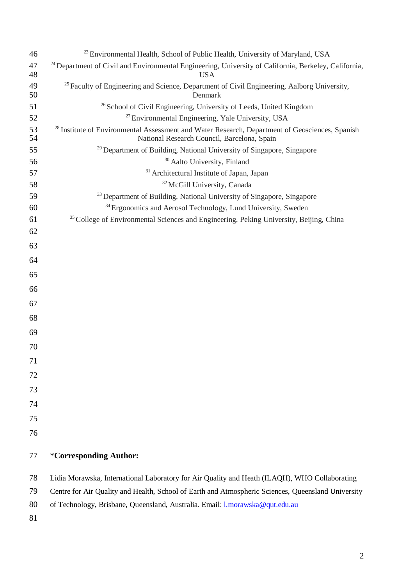| 46       | <sup>23</sup> Environmental Health, School of Public Health, University of Maryland, USA                                                                  |
|----------|-----------------------------------------------------------------------------------------------------------------------------------------------------------|
| 47<br>48 | <sup>24</sup> Department of Civil and Environmental Engineering, University of California, Berkeley, California,<br><b>USA</b>                            |
| 49<br>50 | <sup>25</sup> Faculty of Engineering and Science, Department of Civil Engineering, Aalborg University,<br>Denmark                                         |
| 51       | <sup>26</sup> School of Civil Engineering, University of Leeds, United Kingdom                                                                            |
| 52       | <sup>27</sup> Environmental Engineering, Yale University, USA                                                                                             |
| 53<br>54 | <sup>28</sup> Institute of Environmental Assessment and Water Research, Department of Geosciences, Spanish<br>National Research Council, Barcelona, Spain |
| 55       | <sup>29</sup> Department of Building, National University of Singapore, Singapore                                                                         |
| 56       | <sup>30</sup> Aalto University, Finland                                                                                                                   |
| 57       | <sup>31</sup> Architectural Institute of Japan, Japan                                                                                                     |
| 58       | <sup>32</sup> McGill University, Canada                                                                                                                   |
| 59       | <sup>33</sup> Department of Building, National University of Singapore, Singapore                                                                         |
| 60       | <sup>34</sup> Ergonomics and Aerosol Technology, Lund University, Sweden                                                                                  |
| 61       | <sup>35</sup> College of Environmental Sciences and Engineering, Peking University, Beijing, China                                                        |
| 62       |                                                                                                                                                           |
| 63       |                                                                                                                                                           |
| 64       |                                                                                                                                                           |
| 65       |                                                                                                                                                           |
| 66       |                                                                                                                                                           |
| 67       |                                                                                                                                                           |
| 68       |                                                                                                                                                           |
| 69       |                                                                                                                                                           |
| 70       |                                                                                                                                                           |
| 71       |                                                                                                                                                           |
| 72       |                                                                                                                                                           |
| 73       |                                                                                                                                                           |
| 74       |                                                                                                                                                           |
| 75       |                                                                                                                                                           |
| 76       |                                                                                                                                                           |
| 77       | *Corresponding Author:                                                                                                                                    |
| 78       | Lidia Morawska, International Laboratory for Air Quality and Heath (ILAQH), WHO Collaborating                                                             |
| 79       | Centre for Air Quality and Health, School of Earth and Atmospheric Sciences, Queensland University                                                        |

80 of Technology, Brisbane, Queensland, Australia. Email: **l.morawska@qut.edu.au**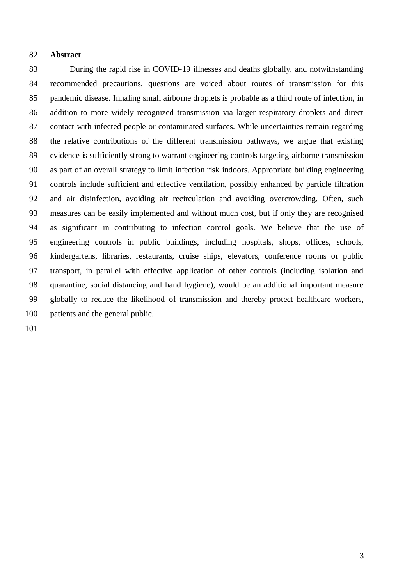#### **Abstract**

 During the rapid rise in COVID-19 illnesses and deaths globally, and notwithstanding recommended precautions, questions are voiced about routes of transmission for this pandemic disease. Inhaling small airborne droplets is probable as a third route of infection, in addition to more widely recognized transmission via larger respiratory droplets and direct contact with infected people or contaminated surfaces. While uncertainties remain regarding the relative contributions of the different transmission pathways, we argue that existing evidence is sufficiently strong to warrant engineering controls targeting airborne transmission as part of an overall strategy to limit infection risk indoors. Appropriate building engineering controls include sufficient and effective ventilation, possibly enhanced by particle filtration and air disinfection, avoiding air recirculation and avoiding overcrowding. Often, such measures can be easily implemented and without much cost, but if only they are recognised as significant in contributing to infection control goals. We believe that the use of engineering controls in public buildings, including hospitals, shops, offices, schools, kindergartens, libraries, restaurants, cruise ships, elevators, conference rooms or public transport, in parallel with effective application of other controls (including isolation and quarantine, social distancing and hand hygiene), would be an additional important measure globally to reduce the likelihood of transmission and thereby protect healthcare workers, patients and the general public.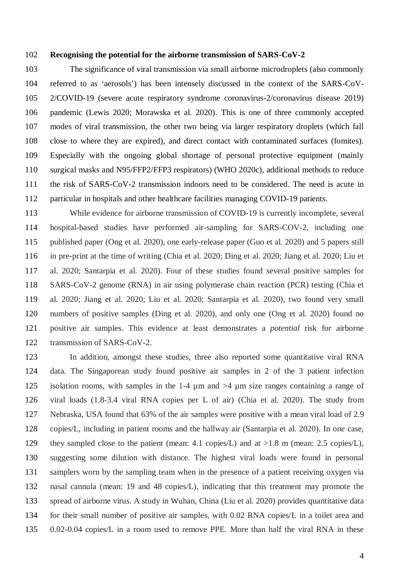#### **Recognising the potential for the airborne transmission of SARS-CoV-2**

 The significance of viral transmission via small airborne microdroplets (also commonly referred to as 'aerosols') has been intensely discussed in the context of the SARS-CoV- 2/COVID-19 (severe acute respiratory syndrome coronavirus-2/coronavirus disease 2019) pandemic (Lewis 2020; Morawska et al. 2020). This is one of three commonly accepted modes of viral transmission, the other two being via larger respiratory droplets (which fall close to where they are expired), and direct contact with contaminated surfaces (fomites). Especially with the ongoing global shortage of personal protective equipment (mainly surgical masks and N95/FFP2/FFP3 respirators) (WHO 2020c), additional methods to reduce the risk of SARS-CoV-2 transmission indoors need to be considered. The need is acute in particular in hospitals and other healthcare facilities managing COVID-19 patients.

 While evidence for airborne transmission of COVID-19 is currently incomplete, several hospital-based studies have performed air-sampling for SARS-COV-2, including one published paper (Ong et al. 2020), one early-release paper (Guo et al. 2020) and 5 papers still in pre-print at the time of writing (Chia et al. 2020; Ding et al. 2020; Jiang et al. 2020; Liu et al. 2020; Santarpia et al. 2020). Four of these studies found several positive samples for SARS-CoV-2 genome (RNA) in air using polymerase chain reaction (PCR) testing (Chia et al. 2020; Jiang et al. 2020; Liu et al. 2020; Santarpia et al. 2020), two found very small numbers of positive samples (Ding et al. 2020), and only one (Ong et al. 2020) found no positive air samples. This evidence at least demonstrates a *potential* risk for airborne transmission of SARS-CoV-2.

 In addition, amongst these studies, three also reported some quantitative viral RNA data. The Singaporean study found positive air samples in 2 of the 3 patient infection isolation rooms, with samples in the 1-4 µm and >4 µm size ranges containing a range of viral loads (1.8-3.4 viral RNA copies per L of air) (Chia et al. 2020). The study from Nebraska, USA found that 63% of the air samples were positive with a mean viral load of 2.9 copies/L, including in patient rooms and the hallway air (Santarpia et al. 2020). In one case, they sampled close to the patient (mean: 4.1 copies/L) and at >1.8 m (mean: 2.5 copies/L), suggesting some dilution with distance. The highest viral loads were found in personal samplers worn by the sampling team when in the presence of a patient receiving oxygen via nasal cannula (mean: 19 and 48 copies/L), indicating that this treatment may promote the spread of airborne virus. A study in Wuhan, China (Liu et al. 2020) provides quantitative data for their small number of positive air samples, with 0.02 RNA copies/L in a toilet area and 0.02-0.04 copies/L in a room used to remove PPE. More than half the viral RNA in these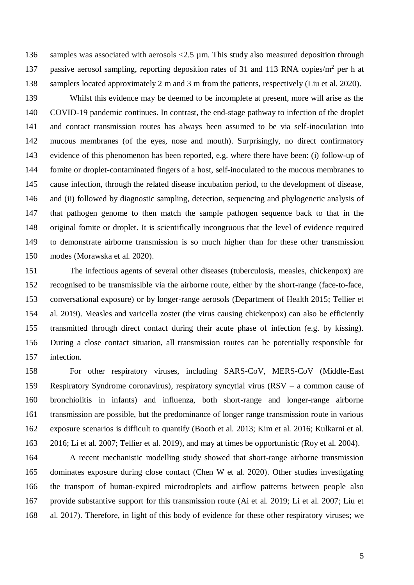136 samples was associated with aerosols  $\langle 2.5 \mu \text{m} \rangle$ . This study also measured deposition through 137 passive aerosol sampling, reporting deposition rates of 31 and 113 RNA copies/m<sup>2</sup> per h at samplers located approximately 2 m and 3 m from the patients, respectively (Liu et al. 2020).

 Whilst this evidence may be deemed to be incomplete at present, more will arise as the COVID-19 pandemic continues. In contrast, the end-stage pathway to infection of the droplet and contact transmission routes has always been assumed to be via self-inoculation into mucous membranes (of the eyes, nose and mouth). Surprisingly, no direct confirmatory evidence of this phenomenon has been reported, e.g. where there have been: (i) follow-up of fomite or droplet-contaminated fingers of a host, self-inoculated to the mucous membranes to cause infection, through the related disease incubation period, to the development of disease, and (ii) followed by diagnostic sampling, detection, sequencing and phylogenetic analysis of that pathogen genome to then match the sample pathogen sequence back to that in the original fomite or droplet. It is scientifically incongruous that the level of evidence required to demonstrate airborne transmission is so much higher than for these other transmission modes (Morawska et al. 2020).

 The infectious agents of several other diseases (tuberculosis, measles, chickenpox) are recognised to be transmissible via the airborne route, either by the short-range (face-to-face, conversational exposure) or by longer-range aerosols (Department of Health 2015; Tellier et al. 2019). Measles and varicella zoster (the virus causing chickenpox) can also be efficiently transmitted through direct contact during their acute phase of infection (e.g. by kissing). During a close contact situation, all transmission routes can be potentially responsible for infection.

 For other respiratory viruses, including SARS-CoV, MERS-CoV (Middle-East Respiratory Syndrome coronavirus), respiratory syncytial virus (RSV – a common cause of bronchiolitis in infants) and influenza, both short-range and longer-range airborne transmission are possible, but the predominance of longer range transmission route in various exposure scenarios is difficult to quantify (Booth et al. 2013; Kim et al. 2016; Kulkarni et al. 2016; Li et al. 2007; Tellier et al. 2019), and may at times be opportunistic (Roy et al. 2004).

 A recent mechanistic modelling study showed that short-range airborne transmission dominates exposure during close contact (Chen W et al. 2020). Other studies investigating the transport of human-expired microdroplets and airflow patterns between people also provide substantive support for this transmission route (Ai et al. 2019; Li et al. 2007; Liu et al. 2017). Therefore, in light of this body of evidence for these other respiratory viruses; we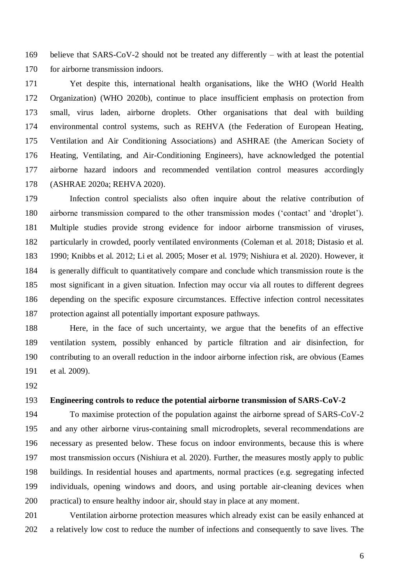believe that SARS-CoV-2 should not be treated any differently – with at least the potential 170 for airborne transmission indoors.

 Yet despite this, international health organisations, like the WHO (World Health Organization) (WHO 2020b), continue to place insufficient emphasis on protection from small, virus laden, airborne droplets. Other organisations that deal with building environmental control systems, such as REHVA (the Federation of European Heating, Ventilation and Air Conditioning Associations) and ASHRAE (the American Society of Heating, Ventilating, and Air-Conditioning Engineers), have acknowledged the potential airborne hazard indoors and recommended ventilation control measures accordingly (ASHRAE 2020a; REHVA 2020).

 Infection control specialists also often inquire about the relative contribution of airborne transmission compared to the other transmission modes ('contact' and 'droplet'). Multiple studies provide strong evidence for indoor airborne transmission of viruses, particularly in crowded, poorly ventilated environments (Coleman et al. 2018; Distasio et al. 1990; Knibbs et al. 2012; Li et al. 2005; Moser et al. 1979; Nishiura et al. 2020). However, it is generally difficult to quantitatively compare and conclude which transmission route is the most significant in a given situation. Infection may occur via all routes to different degrees depending on the specific exposure circumstances. Effective infection control necessitates protection against all potentially important exposure pathways.

 Here, in the face of such uncertainty, we argue that the benefits of an effective ventilation system, possibly enhanced by particle filtration and air disinfection, for contributing to an overall reduction in the indoor airborne infection risk, are obvious (Eames et al. 2009).

# **Engineering controls to reduce the potential airborne transmission of SARS-CoV-2**

 To maximise protection of the population against the airborne spread of SARS-CoV-2 and any other airborne virus-containing small microdroplets, several recommendations are necessary as presented below. These focus on indoor environments, because this is where most transmission occurs (Nishiura et al. 2020). Further, the measures mostly apply to public buildings. In residential houses and apartments, normal practices (e.g. segregating infected individuals, opening windows and doors, and using portable air-cleaning devices when practical) to ensure healthy indoor air, should stay in place at any moment.

 Ventilation airborne protection measures which already exist can be easily enhanced at a relatively low cost to reduce the number of infections and consequently to save lives. The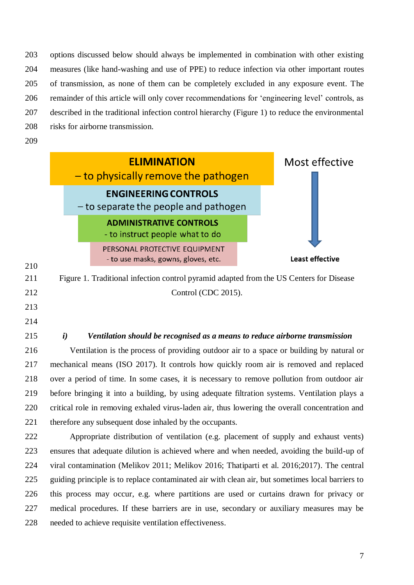options discussed below should always be implemented in combination with other existing measures (like hand-washing and use of PPE) to reduce infection via other important routes of transmission, as none of them can be completely excluded in any exposure event. The remainder of this article will only cover recommendations for 'engineering level' controls, as described in the traditional infection control hierarchy (Figure 1) to reduce the environmental 208 risks for airborne transmission.



- Figure 1. Traditional infection control pyramid adapted from the US Centers for Disease Control (CDC 2015).
- 
- 
- 

#### *i) Ventilation should be recognised as a means to reduce airborne transmission*

 Ventilation is the process of providing outdoor air to a space or building by natural or mechanical means (ISO 2017). It controls how quickly room air is removed and replaced over a period of time. In some cases, it is necessary to remove pollution from outdoor air before bringing it into a building, by using adequate filtration systems. Ventilation plays a critical role in removing exhaled virus-laden air, thus lowering the overall concentration and therefore any subsequent dose inhaled by the occupants.

 Appropriate distribution of ventilation (e.g. placement of supply and exhaust vents) ensures that adequate dilution is achieved where and when needed, avoiding the build-up of viral contamination (Melikov 2011; Melikov 2016; Thatiparti et al. 2016;2017). The central guiding principle is to replace contaminated air with clean air, but sometimes local barriers to this process may occur, e.g. where partitions are used or curtains drawn for privacy or medical procedures. If these barriers are in use, secondary or auxiliary measures may be needed to achieve requisite ventilation effectiveness.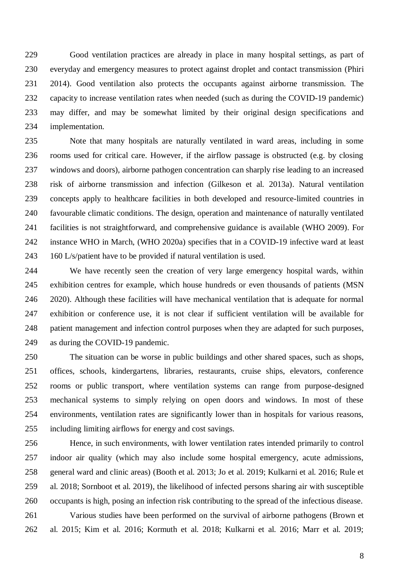Good ventilation practices are already in place in many hospital settings, as part of everyday and emergency measures to protect against droplet and contact transmission (Phiri 2014). Good ventilation also protects the occupants against airborne transmission. The capacity to increase ventilation rates when needed (such as during the COVID-19 pandemic) may differ, and may be somewhat limited by their original design specifications and implementation.

 Note that many hospitals are naturally ventilated in ward areas, including in some rooms used for critical care. However, if the airflow passage is obstructed (e.g. by closing windows and doors), airborne pathogen concentration can sharply rise leading to an increased risk of airborne transmission and infection (Gilkeson et al. 2013a). Natural ventilation concepts apply to healthcare facilities in both developed and resource-limited countries in favourable climatic conditions. The design, operation and maintenance of naturally ventilated facilities is not straightforward, and comprehensive guidance is available (WHO 2009). For instance WHO in March, (WHO 2020a) specifies that in a COVID-19 infective ward at least 160 L/s/patient have to be provided if natural ventilation is used.

 We have recently seen the creation of very large emergency hospital wards, within exhibition centres for example, which house hundreds or even thousands of patients (MSN 2020). Although these facilities will have mechanical ventilation that is adequate for normal exhibition or conference use, it is not clear if sufficient ventilation will be available for patient management and infection control purposes when they are adapted for such purposes, as during the COVID-19 pandemic.

 The situation can be worse in public buildings and other shared spaces, such as shops, offices, schools, kindergartens, libraries, restaurants, cruise ships, elevators, conference rooms or public transport, where ventilation systems can range from purpose-designed mechanical systems to simply relying on open doors and windows. In most of these environments, ventilation rates are significantly lower than in hospitals for various reasons, including limiting airflows for energy and cost savings.

 Hence, in such environments, with lower ventilation rates intended primarily to control indoor air quality (which may also include some hospital emergency, acute admissions, general ward and clinic areas) (Booth et al. 2013; Jo et al. 2019; Kulkarni et al. 2016; Rule et al. 2018; Sornboot et al. 2019), the likelihood of infected persons sharing air with susceptible occupants is high, posing an infection risk contributing to the spread of the infectious disease. Various studies have been performed on the survival of airborne pathogens (Brown et al. 2015; Kim et al. 2016; Kormuth et al. 2018; Kulkarni et al. 2016; Marr et al. 2019;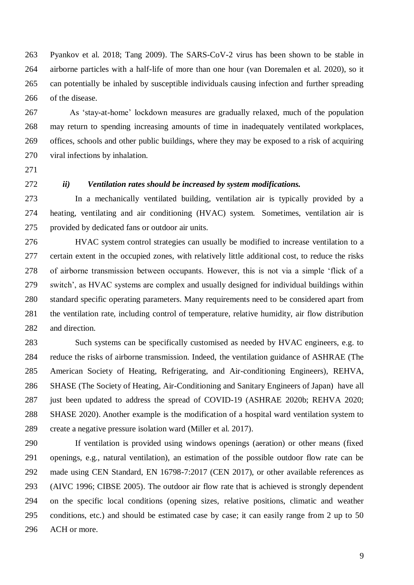Pyankov et al. 2018; Tang 2009). The SARS-CoV-2 virus has been shown to be stable in airborne particles with a half-life of more than one hour (van Doremalen et al. 2020), so it can potentially be inhaled by susceptible individuals causing infection and further spreading of the disease.

 As 'stay-at-home' lockdown measures are gradually relaxed, much of the population may return to spending increasing amounts of time in inadequately ventilated workplaces, offices, schools and other public buildings, where they may be exposed to a risk of acquiring viral infections by inhalation.

- 
- 

## *ii) Ventilation rates should be increased by system modifications.*

 In a mechanically ventilated building, ventilation air is typically provided by a heating, ventilating and air conditioning (HVAC) system. Sometimes, ventilation air is provided by dedicated fans or outdoor air units.

 HVAC system control strategies can usually be modified to increase ventilation to a certain extent in the occupied zones, with relatively little additional cost, to reduce the risks of airborne transmission between occupants. However, this is not via a simple 'flick of a switch', as HVAC systems are complex and usually designed for individual buildings within standard specific operating parameters. Many requirements need to be considered apart from the ventilation rate, including control of temperature, relative humidity, air flow distribution and direction.

 Such systems can be specifically customised as needed by HVAC engineers, e.g. to reduce the risks of airborne transmission. Indeed, the ventilation guidance of ASHRAE (The American Society of Heating, Refrigerating, and Air-conditioning Engineers), REHVA, SHASE (The Society of Heating, Air-Conditioning and Sanitary Engineers of Japan) have all 287 iust been updated to address the spread of COVID-19 (ASHRAE 2020b; REHVA 2020; SHASE 2020). Another example is the modification of a hospital ward ventilation system to create a negative pressure isolation ward (Miller et al. 2017).

 If ventilation is provided using windows openings (aeration) or other means (fixed openings, e.g., natural ventilation), an estimation of the possible outdoor flow rate can be made using CEN Standard, EN 16798-7:2017 (CEN 2017), or other available references as (AIVC 1996; CIBSE 2005). The outdoor air flow rate that is achieved is strongly dependent on the specific local conditions (opening sizes, relative positions, climatic and weather conditions, etc.) and should be estimated case by case; it can easily range from 2 up to 50 ACH or more.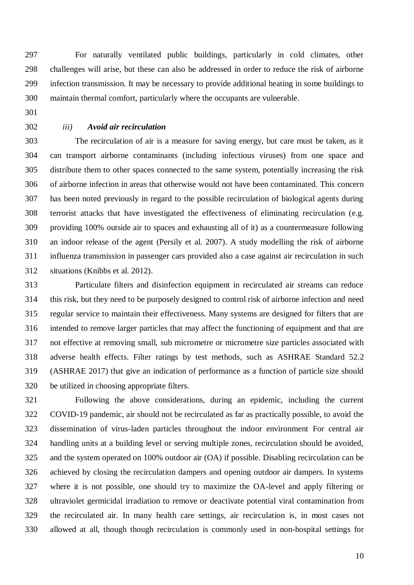For naturally ventilated public buildings, particularly in cold climates, other challenges will arise, but these can also be addressed in order to reduce the risk of airborne infection transmission. It may be necessary to provide additional heating in some buildings to maintain thermal comfort, particularly where the occupants are vulnerable.

# *iii) Avoid air recirculation*

 The recirculation of air is a measure for saving energy, but care must be taken, as it can transport airborne contaminants (including infectious viruses) from one space and distribute them to other spaces connected to the same system, potentially increasing the risk of airborne infection in areas that otherwise would not have been contaminated. This concern has been noted previously in regard to the possible recirculation of biological agents during terrorist attacks that have investigated the effectiveness of eliminating recirculation (e.g. providing 100% outside air to spaces and exhausting all of it) as a countermeasure following an indoor release of the agent (Persily et al. 2007). A study modelling the risk of airborne influenza transmission in passenger cars provided also a case against air recirculation in such situations (Knibbs et al. 2012).

 Particulate filters and disinfection equipment in recirculated air streams can reduce this risk, but they need to be purposely designed to control risk of airborne infection and need regular service to maintain their effectiveness. Many systems are designed for filters that are intended to remove larger particles that may affect the functioning of equipment and that are not effective at removing small, sub micrometre or micrometre size particles associated with adverse health effects. Filter ratings by test methods, such as ASHRAE Standard 52.2 (ASHRAE 2017) that give an indication of performance as a function of particle size should be utilized in choosing appropriate filters.

 Following the above considerations, during an epidemic, including the current COVID-19 pandemic, air should not be recirculated as far as practically possible, to avoid the dissemination of virus-laden particles throughout the indoor environment For central air handling units at a building level or serving multiple zones, recirculation should be avoided, and the system operated on 100% outdoor air (OA) if possible. Disabling recirculation can be achieved by closing the recirculation dampers and opening outdoor air dampers. In systems where it is not possible, one should try to maximize the OA-level and apply filtering or ultraviolet germicidal irradiation to remove or deactivate potential viral contamination from the recirculated air. In many health care settings, air recirculation is, in most cases not allowed at all, though though recirculation is commonly used in non-hospital settings for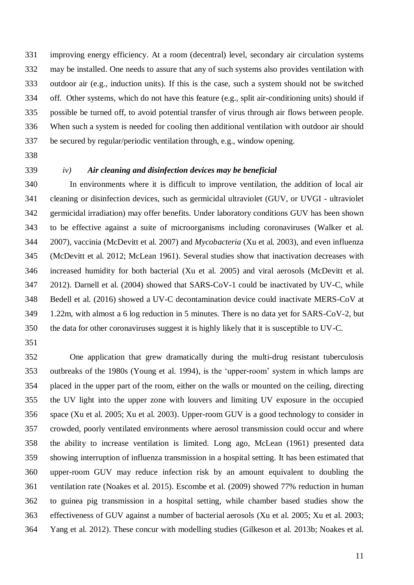improving energy efficiency. At a room (decentral) level, secondary air circulation systems may be installed. One needs to assure that any of such systems also provides ventilation with outdoor air (e.g., induction units). If this is the case, such a system should not be switched off. Other systems, which do not have this feature (e.g., split air-conditioning units) should if possible be turned off, to avoid potential transfer of virus through air flows between people. When such a system is needed for cooling then additional ventilation with outdoor air should be secured by regular/periodic ventilation through, e.g., window opening.

- 
- 

#### *iv) Air cleaning and disinfection devices may be beneficial*

 In environments where it is difficult to improve ventilation, the addition of local air cleaning or disinfection devices, such as germicidal ultraviolet (GUV, or UVGI - ultraviolet germicidal irradiation) may offer benefits. Under laboratory conditions GUV has been shown to be effective against a suite of microorganisms including coronaviruses (Walker et al. 2007), vaccinia (McDevitt et al. 2007) and *Mycobacteria* (Xu et al. 2003), and even influenza (McDevitt et al. 2012; McLean 1961). Several studies show that inactivation decreases with increased humidity for both bacterial (Xu et al. 2005) and viral aerosols (McDevitt et al. 2012). Darnell et al. (2004) showed that SARS-CoV-1 could be inactivated by UV-C, while Bedell et al. (2016) showed a UV-C decontamination device could inactivate MERS-CoV at 1.22m, with almost a 6 log reduction in 5 minutes. There is no data yet for SARS-CoV-2, but the data for other coronaviruses suggest it is highly likely that it is susceptible to UV-C.

 One application that grew dramatically during the multi-drug resistant tuberculosis outbreaks of the 1980s (Young et al. 1994), is the 'upper-room' system in which lamps are placed in the upper part of the room, either on the walls or mounted on the ceiling, directing the UV light into the upper zone with louvers and limiting UV exposure in the occupied space (Xu et al. 2005; Xu et al. 2003). Upper-room GUV is a good technology to consider in crowded, poorly ventilated environments where aerosol transmission could occur and where the ability to increase ventilation is limited. Long ago, McLean (1961) presented data showing interruption of influenza transmission in a hospital setting. It has been estimated that upper-room GUV may reduce infection risk by an amount equivalent to doubling the ventilation rate (Noakes et al. 2015). Escombe et al. (2009) showed 77% reduction in human to guinea pig transmission in a hospital setting, while chamber based studies show the effectiveness of GUV against a number of bacterial aerosols (Xu et al. 2005; Xu et al. 2003; Yang et al. 2012). These concur with modelling studies (Gilkeson et al. 2013b; Noakes et al.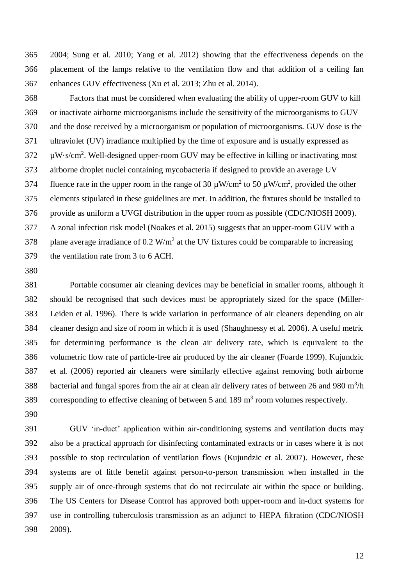2004; Sung et al. 2010; Yang et al. 2012) showing that the effectiveness depends on the placement of the lamps relative to the ventilation flow and that addition of a ceiling fan enhances GUV effectiveness (Xu et al. 2013; Zhu et al. 2014).

 Factors that must be considered when evaluating the ability of upper-room GUV to kill or inactivate airborne microorganisms include the sensitivity of the microorganisms to GUV and the dose received by a microorganism or population of microorganisms. GUV dose is the ultraviolet (UV) irradiance multiplied by the time of exposure and is usually expressed as  $\mu$ W·s/cm<sup>2</sup>. Well-designed upper-room GUV may be effective in killing or inactivating most airborne droplet nuclei containing mycobacteria if designed to provide an average UV 374 fluence rate in the upper room in the range of 30  $\mu$ W/cm<sup>2</sup> to 50  $\mu$ W/cm<sup>2</sup>, provided the other elements stipulated in these guidelines are met. In addition, the fixtures should be installed to provide as uniform a UVGI distribution in the upper room as possible (CDC/NIOSH 2009). A zonal infection risk model (Noakes et al. 2015) suggests that an upper-room GUV with a 378 plane average irradiance of  $0.2 \text{ W/m}^2$  at the UV fixtures could be comparable to increasing the ventilation rate from 3 to 6 ACH.

 Portable consumer air cleaning devices may be beneficial in smaller rooms, although it should be recognised that such devices must be appropriately sized for the space (Miller- Leiden et al. 1996). There is wide variation in performance of air cleaners depending on air cleaner design and size of room in which it is used (Shaughnessy et al. 2006). A useful metric for determining performance is the clean air delivery rate, which is equivalent to the volumetric flow rate of particle-free air produced by the air cleaner (Foarde 1999). Kujundzic et al. (2006) reported air cleaners were similarly effective against removing both airborne 388 bacterial and fungal spores from the air at clean air delivery rates of between 26 and 980 m<sup>3</sup>/h 389 corresponding to effective cleaning of between 5 and 189  $m<sup>3</sup>$  room volumes respectively.

 GUV 'in-duct' application within air-conditioning systems and ventilation ducts may also be a practical approach for disinfecting contaminated extracts or in cases where it is not possible to stop recirculation of ventilation flows (Kujundzic et al. 2007). However, these systems are of little benefit against person-to-person transmission when installed in the supply air of once-through systems that do not recirculate air within the space or building. The US Centers for Disease Control has approved both upper-room and in-duct systems for use in controlling tuberculosis transmission as an adjunct to HEPA filtration (CDC/NIOSH 2009).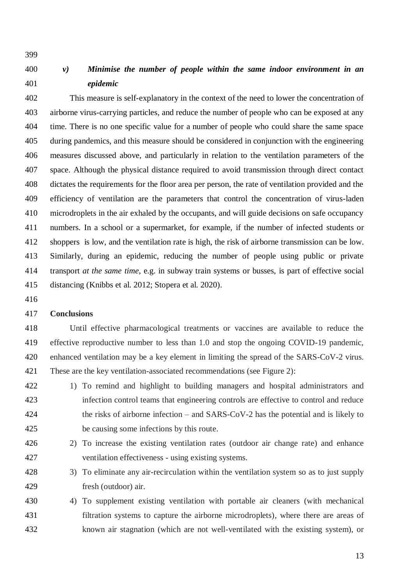# *v) Minimise the number of people within the same indoor environment in an epidemic*

 This measure is self-explanatory in the context of the need to lower the concentration of airborne virus-carrying particles, and reduce the number of people who can be exposed at any time. There is no one specific value for a number of people who could share the same space during pandemics, and this measure should be considered in conjunction with the engineering measures discussed above, and particularly in relation to the ventilation parameters of the space. Although the physical distance required to avoid transmission through direct contact dictates the requirements for the floor area per person, the rate of ventilation provided and the efficiency of ventilation are the parameters that control the concentration of virus-laden microdroplets in the air exhaled by the occupants, and will guide decisions on safe occupancy numbers. In a school or a supermarket, for example, if the number of infected students or shoppers is low, and the ventilation rate is high, the risk of airborne transmission can be low. Similarly, during an epidemic, reducing the number of people using public or private transport *at the same time*, e.g. in subway train systems or busses, is part of effective social distancing (Knibbs et al. 2012; Stopera et al. 2020).

## **Conclusions**

 Until effective pharmacological treatments or vaccines are available to reduce the effective reproductive number to less than 1.0 and stop the ongoing COVID-19 pandemic, enhanced ventilation may be a key element in limiting the spread of the SARS-CoV-2 virus. These are the key ventilation-associated recommendations (see Figure 2):

- 1) To remind and highlight to building managers and hospital administrators and infection control teams that engineering controls are effective to control and reduce the risks of airborne infection – and SARS-CoV-2 has the potential and is likely to be causing some infections by this route.
- 2) To increase the existing ventilation rates (outdoor air change rate) and enhance ventilation effectiveness - using existing systems.
- 3) To eliminate any air-recirculation within the ventilation system so as to just supply fresh (outdoor) air.
- 4) To supplement existing ventilation with portable air cleaners (with mechanical filtration systems to capture the airborne microdroplets), where there are areas of known air stagnation (which are not well-ventilated with the existing system), or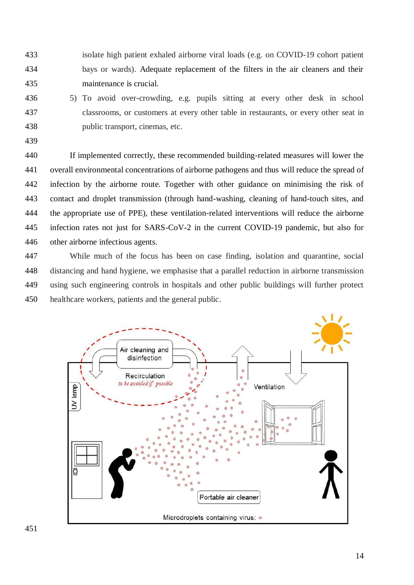isolate high patient exhaled airborne viral loads (e.g. on COVID-19 cohort patient bays or wards). Adequate replacement of the filters in the air cleaners and their maintenance is crucial.

 5) To avoid over-crowding, e.g. pupils sitting at every other desk in school classrooms, or customers at every other table in restaurants, or every other seat in public transport, cinemas, etc.

 If implemented correctly, these recommended building-related measures will lower the overall environmental concentrations of airborne pathogens and thus will reduce the spread of infection by the airborne route. Together with other guidance on minimising the risk of contact and droplet transmission (through hand-washing, cleaning of hand-touch sites, and the appropriate use of PPE), these ventilation-related interventions will reduce the airborne infection rates not just for SARS-CoV-2 in the current COVID-19 pandemic, but also for other airborne infectious agents.

 While much of the focus has been on case finding, isolation and quarantine, social distancing and hand hygiene, we emphasise that a parallel reduction in airborne transmission using such engineering controls in hospitals and other public buildings will further protect healthcare workers, patients and the general public.

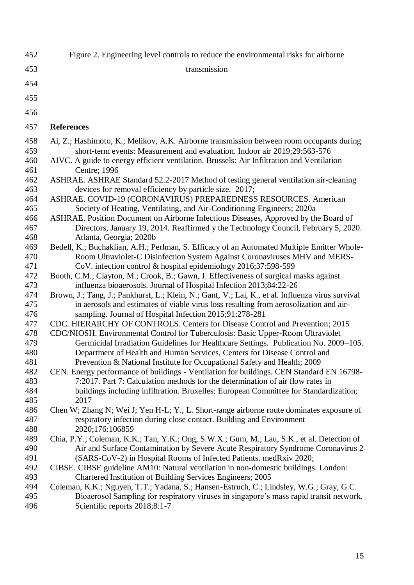| 452 | Figure 2. Engineering level controls to reduce the environmental risks for airborne               |
|-----|---------------------------------------------------------------------------------------------------|
| 453 | transmission                                                                                      |
| 454 |                                                                                                   |
| 455 |                                                                                                   |
| 456 |                                                                                                   |
| 457 | <b>References</b>                                                                                 |
| 458 | Ai, Z.; Hashimoto, K.; Melikov, A.K. Airborne transmission between room occupants during          |
| 459 | short-term events: Measurement and evaluation. Indoor air 2019;29:563-576                         |
| 460 | AIVC. A guide to energy efficient ventilation. Brussels: Air Infiltration and Ventilation         |
| 461 | Centre; 1996                                                                                      |
| 462 | ASHRAE. ASHRAE Standard 52.2-2017 Method of testing general ventilation air-cleaning              |
| 463 | devices for removal efficiency by particle size. 2017;                                            |
| 464 | ASHRAE. COVID-19 (CORONAVIRUS) PREPAREDNESS RESOURCES. American                                   |
| 465 | Society of Heating, Ventilating, and Air-Conditioning Engineers; 2020a                            |
| 466 | ASHRAE. Position Document on Airborne Infectious Diseases, Approved by the Board of               |
| 467 | Directors, January 19, 2014. Reaffirmed y the Technology Council, February 5, 2020.               |
| 468 | Atlanta, Georgia; 2020b                                                                           |
| 469 | Bedell, K.; Buchaklian, A.H.; Perlman, S. Efficacy of an Automated Multiple Emitter Whole-        |
| 470 | Room Ultraviolet-C Disinfection System Against Coronaviruses MHV and MERS-                        |
| 471 | CoV. infection control & hospital epidemiology 2016;37:598-599                                    |
| 472 | Booth, C.M.; Clayton, M.; Crook, B.; Gawn, J. Effectiveness of surgical masks against             |
| 473 | influenza bioaerosols. Journal of Hospital Infection 2013;84:22-26                                |
| 474 | Brown, J.; Tang, J.; Pankhurst, L.; Klein, N.; Gant, V.; Lai, K., et al. Influenza virus survival |
| 475 | in aerosols and estimates of viable virus loss resulting from aerosolization and air-             |
| 476 | sampling. Journal of Hospital Infection 2015;91:278-281                                           |
| 477 | CDC. HIERARCHY OF CONTROLS. Centers for Disease Control and Prevention; 2015                      |
| 478 | CDC/NIOSH. Environmental Control for Tuberculosis: Basic Upper-Room Ultraviolet                   |
| 479 | Germicidal Irradiation Guidelines for Healthcare Settings. Publication No. 2009-105.              |
| 480 | Department of Health and Human Services, Centers for Disease Control and                          |
| 481 | Prevention & National Institute for Occupational Safety and Health; 2009                          |
| 482 | CEN. Energy performance of buildings - Ventilation for buildings. CEN Standard EN 16798-          |
| 483 | 7:2017. Part 7: Calculation methods for the determination of air flow rates in                    |
| 484 | buildings including infiltration. Bruxelles: European Committee for Standardization;              |
| 485 | 2017                                                                                              |
| 486 | Chen W; Zhang N; Wei J; Yen H-L; Y., L. Short-range airborne route dominates exposure of          |
| 487 | respiratory infection during close contact. Building and Environment                              |
| 488 | 2020;176:106859                                                                                   |
| 489 | Chia, P.Y.; Coleman, K.K.; Tan, Y.K.; Ong, S.W.X.; Gum, M.; Lau, S.K., et al. Detection of        |
| 490 | Air and Surface Contamination by Severe Acute Respiratory Syndrome Coronavirus 2                  |
| 491 | (SARS-CoV-2) in Hospital Rooms of Infected Patients. medRxiv 2020;                                |
| 492 | CIBSE. CIBSE guideline AM10: Natural ventilation in non-domestic buildings. London:               |
| 493 | Chartered Institution of Building Services Engineers; 2005                                        |
| 494 | Coleman, K.K.; Nguyen, T.T.; Yadana, S.; Hansen-Estruch, C.; Lindsley, W.G.; Gray, G.C.           |
| 495 | Bioaerosol Sampling for respiratory viruses in singapore's mass rapid transit network.            |
| 496 | Scientific reports 2018;8:1-7                                                                     |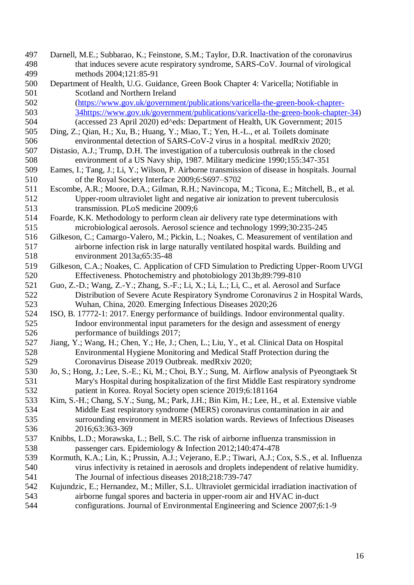- Darnell, M.E.; Subbarao, K.; Feinstone, S.M.; Taylor, D.R. Inactivation of the coronavirus that induces severe acute respiratory syndrome, SARS-CoV. Journal of virological methods 2004;121:85-91
- Department of Health, U.G. Guidance, Green Book Chapter 4: Varicella; Notifiable in Scotland and Northern Ireland
- [\(https://www.gov.uk/government/publications/varicella-the-green-book-chapter-](https://www.gov.uk/government/publications/varicella-the-green-book-chapter-34https:/www.gov.uk/government/publications/varicella-the-green-book-chapter-34) [34https://www.gov.uk/government/publications/varicella-the-green-book-chapter-34\)](https://www.gov.uk/government/publications/varicella-the-green-book-chapter-34https:/www.gov.uk/government/publications/varicella-the-green-book-chapter-34) (accessed 23 April 2020) ed^eds: Department of Health, UK Government; 2015
- Ding, Z.; Qian, H.; Xu, B.; Huang, Y.; Miao, T.; Yen, H.-L., et al. Toilets dominate environmental detection of SARS-CoV-2 virus in a hospital. medRxiv 2020;
- Distasio, A.J.; Trump, D.H. The investigation of a tuberculosis outbreak in the closed environment of a US Navy ship, 1987. Military medicine 1990;155:347-351

 Eames, I.; Tang, J.; Li, Y.; Wilson, P. Airborne transmission of disease in hospitals. Journal of the Royal Society Interface 2009;6:S697–S702

- Escombe, A.R.; Moore, D.A.; Gilman, R.H.; Navincopa, M.; Ticona, E.; Mitchell, B., et al. Upper-room ultraviolet light and negative air ionization to prevent tuberculosis transmission. PLoS medicine 2009;6
- Foarde, K.K. Methodology to perform clean air delivery rate type determinations with microbiological aerosols. Aerosol science and technology 1999;30:235-245
- Gilkeson, C.; Camargo-Valero, M.; Pickin, L.; Noakes, C. Measurement of ventilation and airborne infection risk in large naturally ventilated hospital wards. Building and environment 2013a;65:35-48
- Gilkeson, C.A.; Noakes, C. Application of CFD Simulation to Predicting Upper‐Room UVGI Effectiveness. Photochemistry and photobiology 2013b;89:799-810
- Guo, Z.-D.; Wang, Z.-Y.; Zhang, S.-F.; Li, X.; Li, L.; Li, C., et al. Aerosol and Surface Distribution of Severe Acute Respiratory Syndrome Coronavirus 2 in Hospital Wards, Wuhan, China, 2020. Emerging Infectious Diseases 2020;26
- ISO, B. 17772-1: 2017. Energy performance of buildings. Indoor environmental quality. Indoor environmental input parameters for the design and assessment of energy performance of buildings 2017;
- Jiang, Y.; Wang, H.; Chen, Y.; He, J.; Chen, L.; Liu, Y., et al. Clinical Data on Hospital Environmental Hygiene Monitoring and Medical Staff Protection during the Coronavirus Disease 2019 Outbreak. medRxiv 2020;
- Jo, S.; Hong, J.; Lee, S.-E.; Ki, M.; Choi, B.Y.; Sung, M. Airflow analysis of Pyeongtaek St Mary's Hospital during hospitalization of the first Middle East respiratory syndrome patient in Korea. Royal Society open science 2019;6:181164
- Kim, S.-H.; Chang, S.Y.; Sung, M.; Park, J.H.; Bin Kim, H.; Lee, H., et al. Extensive viable Middle East respiratory syndrome (MERS) coronavirus contamination in air and surrounding environment in MERS isolation wards. Reviews of Infectious Diseases 2016;63:363-369
- Knibbs, L.D.; Morawska, L.; Bell, S.C. The risk of airborne influenza transmission in passenger cars. Epidemiology & Infection 2012;140:474-478
- Kormuth, K.A.; Lin, K.; Prussin, A.J.; Vejerano, E.P.; Tiwari, A.J.; Cox, S.S., et al. Influenza virus infectivity is retained in aerosols and droplets independent of relative humidity. The Journal of infectious diseases 2018;218:739-747
- Kujundzic, E.; Hernandez, M.; Miller, S.L. Ultraviolet germicidal irradiation inactivation of airborne fungal spores and bacteria in upper-room air and HVAC in-duct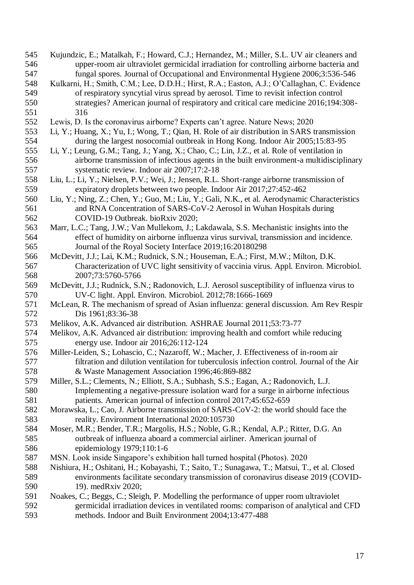- Kujundzic, E.; Matalkah, F.; Howard, C.J.; Hernandez, M.; Miller, S.L. UV air cleaners and upper-room air ultraviolet germicidal irradiation for controlling airborne bacteria and fungal spores. Journal of Occupational and Environmental Hygiene 2006;3:536-546
- Kulkarni, H.; Smith, C.M.; Lee, D.D.H.; Hirst, R.A.; Easton, A.J.; O'Callaghan, C. Evidence of respiratory syncytial virus spread by aerosol. Time to revisit infection control strategies? American journal of respiratory and critical care medicine 2016;194:308- 316
- Lewis, D. Is the coronavirus airborne? Experts can't agree. Nature News; 2020
- Li, Y.; Huang, X.; Yu, I.; Wong, T.; Qian, H. Role of air distribution in SARS transmission during the largest nosocomial outbreak in Hong Kong. Indoor Air 2005;15:83-95
- Li, Y.; Leung, G.M.; Tang, J.; Yang, X.; Chao, C.; Lin, J.Z., et al. Role of ventilation in airborne transmission of infectious agents in the built environment-a multidisciplinary systematic review. Indoor air 2007;17:2-18
- Liu, L.; Li, Y.; Nielsen, P.V.; Wei, J.; Jensen, R.L. Short‐range airborne transmission of expiratory droplets between two people. Indoor Air 2017;27:452-462
- Liu, Y.; Ning, Z.; Chen, Y.; Guo, M.; Liu, Y.; Gali, N.K., et al. Aerodynamic Characteristics and RNA Concentration of SARS-CoV-2 Aerosol in Wuhan Hospitals during COVID-19 Outbreak. bioRxiv 2020;
- Marr, L.C.; Tang, J.W.; Van Mullekom, J.; Lakdawala, S.S. Mechanistic insights into the effect of humidity on airborne influenza virus survival, transmission and incidence. Journal of the Royal Society Interface 2019;16:20180298
- McDevitt, J.J.; Lai, K.M.; Rudnick, S.N.; Houseman, E.A.; First, M.W.; Milton, D.K. Characterization of UVC light sensitivity of vaccinia virus. Appl. Environ. Microbiol. 2007;73:5760-5766
- McDevitt, J.J.; Rudnick, S.N.; Radonovich, L.J. Aerosol susceptibility of influenza virus to UV-C light. Appl. Environ. Microbiol. 2012;78:1666-1669
- McLean, R. The mechanism of spread of Asian influenza: general discussion. Am Rev Respir Dis 1961;83:36-38
- Melikov, A.K. Advanced air distribution. ASHRAE Journal 2011;53:73-77
- Melikov, A.K. Advanced air distribution: improving health and comfort while reducing energy use. Indoor air 2016;26:112-124
- Miller-Leiden, S.; Lohascio, C.; Nazaroff, W.; Macher, J. Effectiveness of in-room air filtration and dilution ventilation for tuberculosis infection control. Journal of the Air & Waste Management Association 1996;46:869-882
- Miller, S.L.; Clements, N.; Elliott, S.A.; Subhash, S.S.; Eagan, A.; Radonovich, L.J. Implementing a negative-pressure isolation ward for a surge in airborne infectious patients. American journal of infection control 2017;45:652-659
- Morawska, L.; Cao, J. Airborne transmission of SARS-CoV-2: the world should face the reality. Environment International 2020:105730
- Moser, M.R.; Bender, T.R.; Margolis, H.S.; Noble, G.R.; Kendal, A.P.; Ritter, D.G. An outbreak of influenza aboard a commercial airliner. American journal of epidemiology 1979;110:1-6
- MSN. Look inside Singapore's exhibition hall turned hospital (Photos). 2020
- Nishiura, H.; Oshitani, H.; Kobayashi, T.; Saito, T.; Sunagawa, T.; Matsui, T., et al. Closed environments facilitate secondary transmission of coronavirus disease 2019 (COVID-19). medRxiv 2020;
- Noakes, C.; Beggs, C.; Sleigh, P. Modelling the performance of upper room ultraviolet germicidal irradiation devices in ventilated rooms: comparison of analytical and CFD methods. Indoor and Built Environment 2004;13:477-488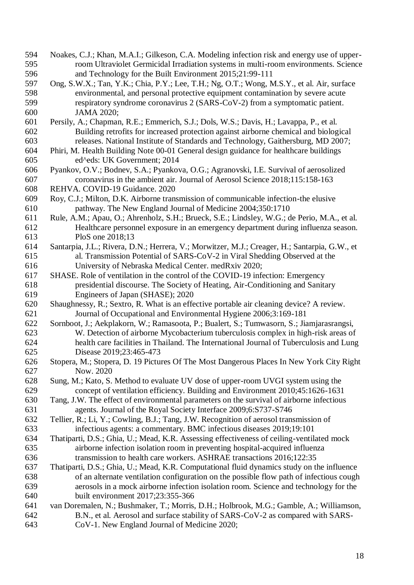- Noakes, C.J.; Khan, M.A.I.; Gilkeson, C.A. Modeling infection risk and energy use of upper- room Ultraviolet Germicidal Irradiation systems in multi-room environments. Science and Technology for the Built Environment 2015;21:99-111
- Ong, S.W.X.; Tan, Y.K.; Chia, P.Y.; Lee, T.H.; Ng, O.T.; Wong, M.S.Y., et al. Air, surface environmental, and personal protective equipment contamination by severe acute respiratory syndrome coronavirus 2 (SARS-CoV-2) from a symptomatic patient. JAMA 2020;
- Persily, A.; Chapman, R.E.; Emmerich, S.J.; Dols, W.S.; Davis, H.; Lavappa, P., et al. Building retrofits for increased protection against airborne chemical and biological releases. National Institute of Standards and Technology, Gaithersburg, MD 2007;
- Phiri, M. Health Building Note 00-01 General design guidance for healthcare buildings ed^eds: UK Government; 2014
- Pyankov, O.V.; Bodnev, S.A.; Pyankova, O.G.; Agranovski, I.E. Survival of aerosolized coronavirus in the ambient air. Journal of Aerosol Science 2018;115:158-163
- REHVA. COVID-19 Guidance. 2020
- Roy, C.J.; Milton, D.K. Airborne transmission of communicable infection-the elusive pathway. The New England Journal of Medicine 2004;350:1710
- Rule, A.M.; Apau, O.; Ahrenholz, S.H.; Brueck, S.E.; Lindsley, W.G.; de Perio, M.A., et al. Healthcare personnel exposure in an emergency department during influenza season. PloS one 2018;13
- Santarpia, J.L.; Rivera, D.N.; Herrera, V.; Morwitzer, M.J.; Creager, H.; Santarpia, G.W., et al. Transmission Potential of SARS-CoV-2 in Viral Shedding Observed at the University of Nebraska Medical Center. medRxiv 2020;
- SHASE. Role of ventilation in the control of the COVID-19 infection: Emergency presidential discourse. The Society of Heating, Air-Conditioning and Sanitary Engineers of Japan (SHASE); 2020
- Shaughnessy, R.; Sextro, R. What is an effective portable air cleaning device? A review. Journal of Occupational and Environmental Hygiene 2006;3:169-181
- Sornboot, J.; Aekplakorn, W.; Ramasoota, P.; Bualert, S.; Tumwasorn, S.; Jiamjarasrangsi, W. Detection of airborne Mycobacterium tuberculosis complex in high-risk areas of health care facilities in Thailand. The International Journal of Tuberculosis and Lung Disease 2019;23:465-473
- Stopera, M.; Stopera, D. 19 Pictures Of The Most Dangerous Places In New York City Right Now. 2020
- Sung, M.; Kato, S. Method to evaluate UV dose of upper-room UVGI system using the concept of ventilation efficiency. Building and Environment 2010;45:1626-1631
- Tang, J.W. The effect of environmental parameters on the survival of airborne infectious agents. Journal of the Royal Society Interface 2009;6:S737-S746
- Tellier, R.; Li, Y.; Cowling, B.J.; Tang, J.W. Recognition of aerosol transmission of infectious agents: a commentary. BMC infectious diseases 2019;19:101
- Thatiparti, D.S.; Ghia, U.; Mead, K.R. Assessing effectiveness of ceiling-ventilated mock airborne infection isolation room in preventing hospital-acquired influenza transmission to health care workers. ASHRAE transactions 2016;122:35
- Thatiparti, D.S.; Ghia, U.; Mead, K.R. Computational fluid dynamics study on the influence of an alternate ventilation configuration on the possible flow path of infectious cough aerosols in a mock airborne infection isolation room. Science and technology for the built environment 2017;23:355-366
- van Doremalen, N.; Bushmaker, T.; Morris, D.H.; Holbrook, M.G.; Gamble, A.; Williamson, B.N., et al. Aerosol and surface stability of SARS-CoV-2 as compared with SARS-CoV-1. New England Journal of Medicine 2020;